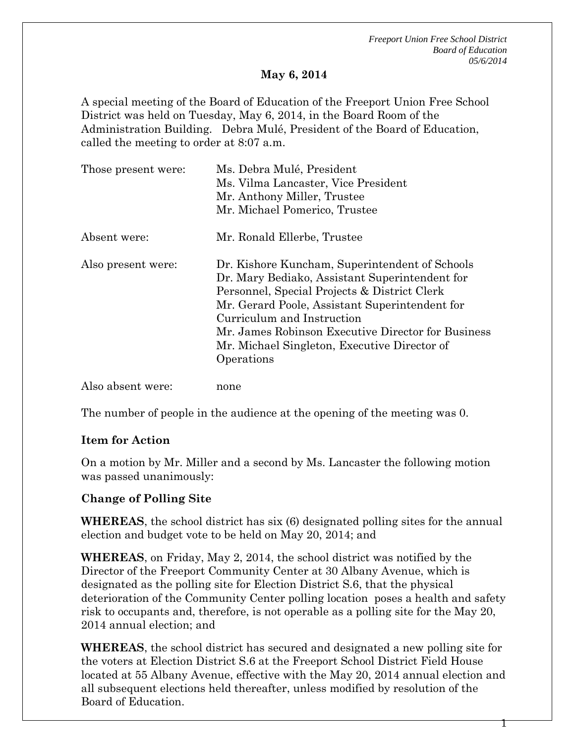*Freeport Union Free School District Board of Education 05/6/2014*

1

## **May 6, 2014**

A special meeting of the Board of Education of the Freeport Union Free School District was held on Tuesday, May 6, 2014, in the Board Room of the Administration Building. Debra Mulé, President of the Board of Education, called the meeting to order at 8:07 a.m.

| Those present were: | Ms. Debra Mulé, President<br>Ms. Vilma Lancaster, Vice President<br>Mr. Anthony Miller, Trustee<br>Mr. Michael Pomerico, Trustee                                                                                                                                                                                                                     |
|---------------------|------------------------------------------------------------------------------------------------------------------------------------------------------------------------------------------------------------------------------------------------------------------------------------------------------------------------------------------------------|
| Absent were:        | Mr. Ronald Ellerbe, Trustee                                                                                                                                                                                                                                                                                                                          |
| Also present were:  | Dr. Kishore Kuncham, Superintendent of Schools<br>Dr. Mary Bediako, Assistant Superintendent for<br>Personnel, Special Projects & District Clerk<br>Mr. Gerard Poole, Assistant Superintendent for<br>Curriculum and Instruction<br>Mr. James Robinson Executive Director for Business<br>Mr. Michael Singleton, Executive Director of<br>Operations |
| Also absent were:   | none                                                                                                                                                                                                                                                                                                                                                 |

The number of people in the audience at the opening of the meeting was 0.

## **Item for Action**

On a motion by Mr. Miller and a second by Ms. Lancaster the following motion was passed unanimously:

## **Change of Polling Site**

**WHEREAS**, the school district has six (6) designated polling sites for the annual election and budget vote to be held on May 20, 2014; and

**WHEREAS**, on Friday, May 2, 2014, the school district was notified by the Director of the Freeport Community Center at 30 Albany Avenue, which is designated as the polling site for Election District S.6, that the physical deterioration of the Community Center polling location poses a health and safety risk to occupants and, therefore, is not operable as a polling site for the May 20, 2014 annual election; and

**WHEREAS**, the school district has secured and designated a new polling site for the voters at Election District S.6 at the Freeport School District Field House located at 55 Albany Avenue, effective with the May 20, 2014 annual election and all subsequent elections held thereafter, unless modified by resolution of the Board of Education.